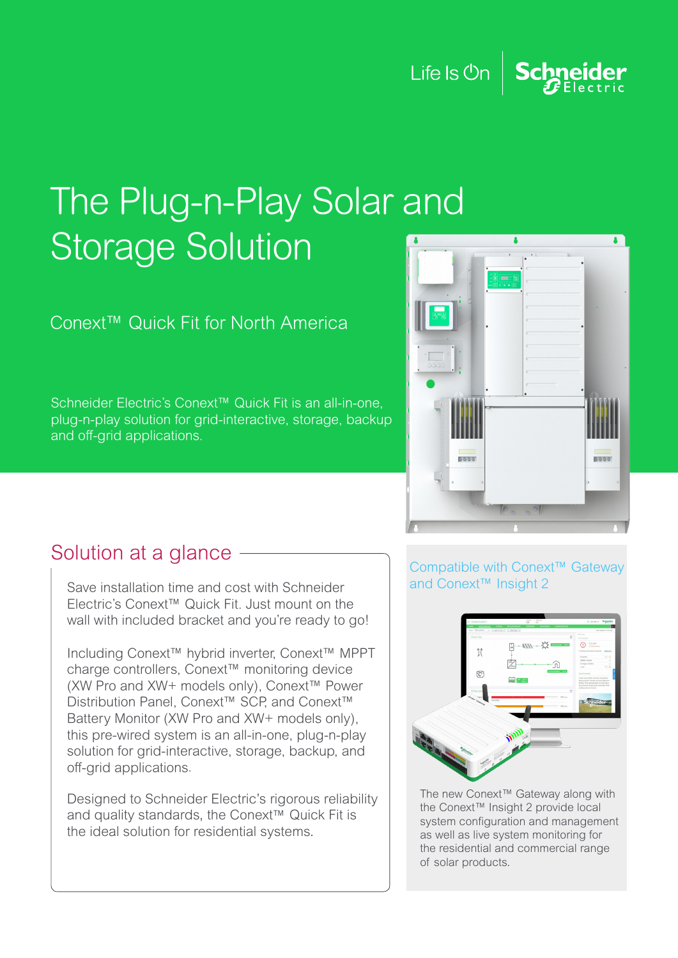Life Is  $\mathsf{On} \left| \right|$ Schneider

## The Plug-n-Play Solar and **Storage Solution**

Conext™ Quick Fit for North America

Schneider Electric's Conext™ Quick Fit is an all-in-one, plug-n-play solution for grid-interactive, storage, backup and off-grid applications.



## Solution at a glance

Save installation time and cost with Schneider Electric's Conext™ Quick Fit. Just mount on the wall with included bracket and you're ready to go!

Including Conext™ hybrid inverter, Conext™ MPPT charge controllers, Conext™ monitoring device (XW Pro and XW+ models only), Conext™ Power Distribution Panel, [Conext™ SCP,](https://solar.schneider-electric.com/product/conext-system-control-panel-scp/) and [Conext™](https://solar.schneider-electric.com/product/conext-battery-monitor/)  [Battery Monitor](https://solar.schneider-electric.com/product/conext-battery-monitor/) (XW Pro and XW+ models only), this pre-wired system is an all-in-one, plug-n-play solution for grid-interactive, storage, backup, and off-grid applications.

Designed to Schneider Electric's rigorous reliability and quality standards, the Conext™ Quick Fit is the ideal solution for residential systems.

## Compatible with Conext™ Gateway and Conext™ Insight 2



The new [Conext™ Gateway](https://solar.schneider-electric.com/product/conext-gateway/) along with the [Conext™ Insight 2](https://solar.schneider-electric.com/product/conext-insight-2/) provide local system configuration and management as well as live system monitoring for the residential and commercial range of solar products.